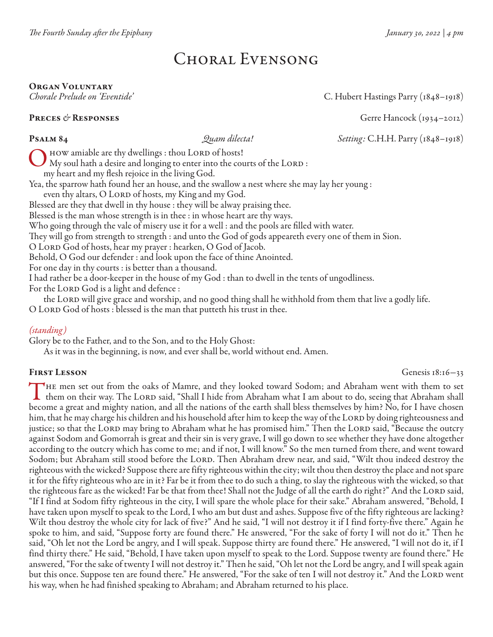## Choral Evensong

# **ORGAN VOLUNTARY**<br>Chorale Prelude on 'Eventide'

*Chorale Prelude on 'Eventide'* C. Hubert Hastings Parry (1848–1918)

**PRECES & RESPONSES** Gerre Hancock (1934–2012)

Psalm 84 *Quam dilecta! Setting:* C.H.H. Parry (1848–1918)

HOW amiable are thy dwellings : thou LORD of hosts! My soul hath a desire and longing to enter into the courts of the LORD : my heart and my flesh rejoice in the living God. Yea, the sparrow hath found her an house, and the swallow a nest where she may lay her young : even thy altars, O LORD of hosts, my King and my God. Blessed are they that dwell in thy house : they will be alway praising thee. Blessed is the man whose strength is in thee : in whose heart are thy ways. Who going through the vale of misery use it for a well : and the pools are filled with water. They will go from strength to strength : and unto the God of gods appeareth every one of them in Sion. O Lord God of hosts, hear my prayer : hearken, O God of Jacob. Behold, O God our defender : and look upon the face of thine Anointed. For one day in thy courts : is better than a thousand. I had rather be a door-keeper in the house of my God : than to dwell in the tents of ungodliness. For the LORD God is a light and defence :

the Lorn will give grace and worship, and no good thing shall he withhold from them that live a godly life. O LORD God of hosts : blessed is the man that putteth his trust in thee.

### *(standing)*

Glory be to the Father, and to the Son, and to the Holy Ghost:

As it was in the beginning, is now, and ever shall be, world without end. Amen.

### FIRST LESSON Genesis 18:16–33

The men set out from the oaks of Mamre, and they looked toward Sodom; and Abraham went with them to set  $\blacktriangle$  them on their way. The LORD said, "Shall I hide from Abraham what I am about to do, seeing that Abraham shall become a great and mighty nation, and all the nations of the earth shall bless themselves by him? No, for I have chosen him, that he may charge his children and his household after him to keep the way of the LORD by doing righteousness and justice; so that the LORD may bring to Abraham what he has promised him." Then the LORD said, "Because the outcry against Sodom and Gomorrah is great and their sin is very grave, I will go down to see whether they have done altogether according to the outcry which has come to me; and if not, I will know." So the men turned from there, and went toward Sodom; but Abraham still stood before the LORD. Then Abraham drew near, and said, "Wilt thou indeed destroy the righteous with the wicked? Suppose there are fifty righteous within the city; wilt thou then destroy the place and not spare it for the fifty righteous who are in it? Far be it from thee to do such a thing, to slay the righteous with the wicked, so that the righteous fare as the wicked! Far be that from thee! Shall not the Judge of all the earth do right?" And the LORD said, "If I find at Sodom fifty righteous in the city, I will spare the whole place for their sake." Abraham answered, "Behold, I have taken upon myself to speak to the Lord, I who am but dust and ashes. Suppose five of the fifty righteous are lacking? Wilt thou destroy the whole city for lack of five?" And he said, "I will not destroy it if I find forty-five there." Again he spoke to him, and said, "Suppose forty are found there." He answered, "For the sake of forty I will not do it." Then he said, "Oh let not the Lord be angry, and I will speak. Suppose thirty are found there." He answered, "I will not do it, if I find thirty there." He said, "Behold, I have taken upon myself to speak to the Lord. Suppose twenty are found there." He answered, "For the sake of twenty I will not destroy it." Then he said, "Oh let not the Lord be angry, and I will speak again but this once. Suppose ten are found there." He answered, "For the sake of ten I will not destroy it." And the LORD went his way, when he had finished speaking to Abraham; and Abraham returned to his place.